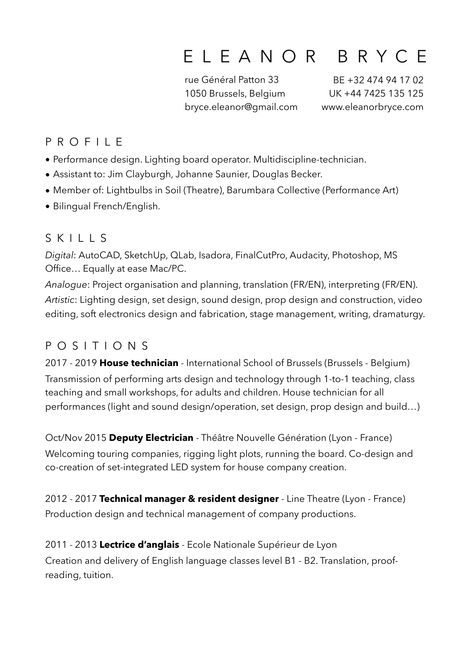# ELEANOR BRYCE

rue Général Patton 33 1050 Brussels, Belgium bryce.eleanor@gmail.com

BE +32 474 94 17 02 UK +44 7425 135 125 www.eleanorbryce.com

# PROFILE

- Performance design. Lighting board operator. Multidiscipline-technician.
- Assistant to: Jim Clayburgh, Johanne Saunier, Douglas Becker.
- Member of: Lightbulbs in Soil (Theatre), Barumbara Collective (Performance Art)
- Bilingual French/English.

# SKILLS

*Digital*: AutoCAD, SketchUp, QLab, Isadora, FinalCutPro, Audacity, Photoshop, MS Office… Equally at ease Mac/PC.

*Analogue*: Project organisation and planning, translation (FR/EN), interpreting (FR/EN). *Artistic*: Lighting design, set design, sound design, prop design and construction, video editing, soft electronics design and fabrication, stage management, writing, dramaturgy.

# POSITIONS

2017 - 2019 **House technician** - International School of Brussels (Brussels - Belgium) Transmission of performing arts design and technology through 1-to-1 teaching, class teaching and small workshops, for adults and children. House technician for all performances (light and sound design/operation, set design, prop design and build…)

Oct/Nov 2015 **Deputy Electrician** - Théâtre Nouvelle Génération (Lyon - France) Welcoming touring companies, rigging light plots, running the board. Co-design and co-creation of set-integrated LED system for house company creation.

2012 - 2017 **Technical manager & resident designer** - Line Theatre (Lyon - France) Production design and technical management of company productions.

2011 - 2013 **Lectrice d'anglais** - Ecole Nationale Supérieur de Lyon Creation and delivery of English language classes level B1 - B2. Translation, proofreading, tuition.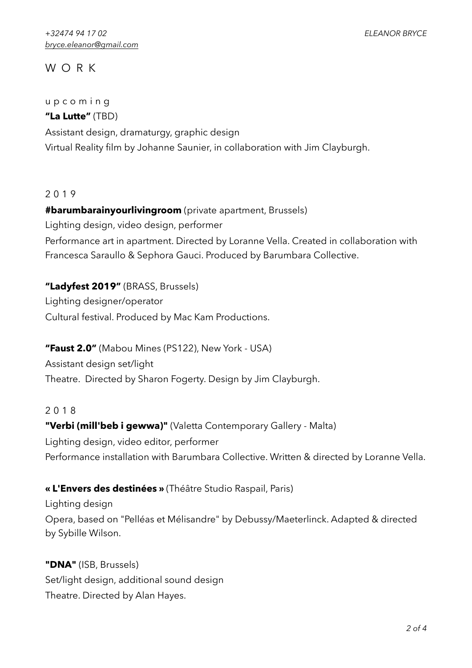## WORK

#### upcoming

**"La Lutte"** (TBD)

Assistant design, dramaturgy, graphic design Virtual Reality film by Johanne Saunier, in collaboration with Jim Clayburgh.

#### 2019

**#barumbarainyourlivingroom** (private apartment, Brussels) Lighting design, video design, performer Performance art in apartment. Directed by Loranne Vella. Created in collaboration with Francesca Saraullo & Sephora Gauci. Produced by Barumbara Collective.

**"Ladyfest 2019"** (BRASS, Brussels) Lighting designer/operator Cultural festival. Produced by Mac Kam Productions.

**"Faust 2.0"** (Mabou Mines (PS122), New York - USA) Assistant design set/light Theatre. Directed by Sharon Fogerty. Design by Jim Clayburgh.

#### 2018

**"Verbi (mill'beb i gewwa)"** (Valetta Contemporary Gallery - Malta) Lighting design, video editor, performer Performance installation with Barumbara Collective. Written & directed by Loranne Vella.

#### **« L'Envers des destinées »** (Théâtre Studio Raspail, Paris)

Lighting design Opera, based on "Pelléas et Mélisandre" by Debussy/Maeterlinck. Adapted & directed by Sybille Wilson.

**"DNA"** (ISB, Brussels) Set/light design, additional sound design Theatre. Directed by Alan Hayes.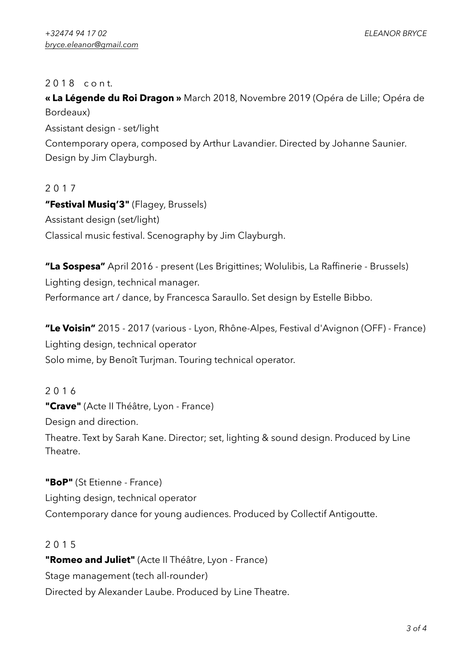#### 2 0 1 8 c o n t.

**« La Légende du Roi Dragon »** March 2018, Novembre 2019 (Opéra de Lille; Opéra de Bordeaux)

Assistant design - set/light

Contemporary opera, composed by Arthur Lavandier. Directed by Johanne Saunier. Design by Jim Clayburgh.

#### 2017

**"Festival Musiq'3"** (Flagey, Brussels) Assistant design (set/light) Classical music festival. Scenography by Jim Clayburgh.

**"La Sospesa"** April 2016 - present (Les Brigittines; Wolulibis, La Raffinerie - Brussels) Lighting design, technical manager. Performance art / dance, by Francesca Saraullo. Set design by Estelle Bibbo.

**"Le Voisin"** 2015 - 2017 (various - Lyon, Rhône-Alpes, Festival d'Avignon (OFF) - France) Lighting design, technical operator Solo mime, by Benoît Turjman. Touring technical operator.

2016 **"Crave"** (Acte II Théâtre, Lyon - France) Design and direction. Theatre. Text by Sarah Kane. Director; set, lighting & sound design. Produced by Line

**"BoP"** (St Etienne - France) Lighting design, technical operator Contemporary dance for young audiences. Produced by Collectif Antigoutte.

#### 2015

Theatre.

**"Romeo and Juliet"** (Acte II Théâtre, Lyon - France) Stage management (tech all-rounder) Directed by Alexander Laube. Produced by Line Theatre.